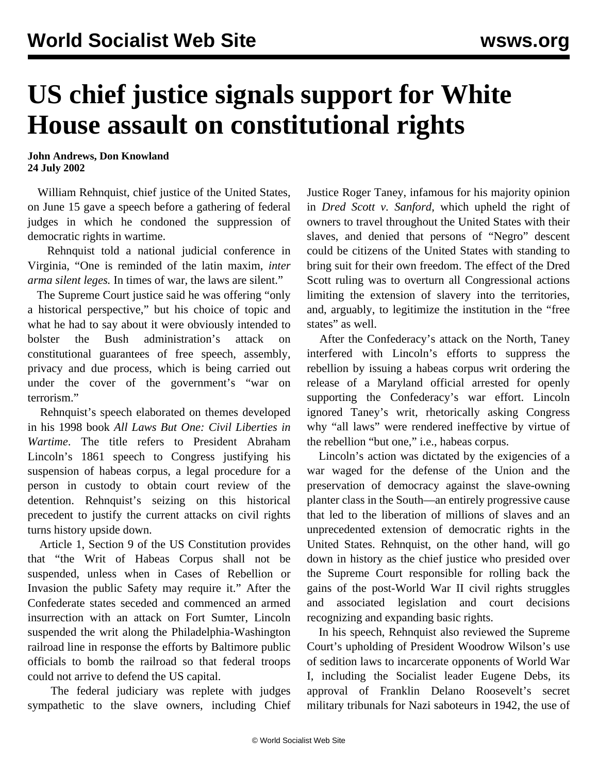## **US chief justice signals support for White House assault on constitutional rights**

**John Andrews, Don Knowland 24 July 2002**

 William Rehnquist, chief justice of the United States, on June 15 gave a speech before a gathering of federal judges in which he condoned the suppression of democratic rights in wartime.

 Rehnquist told a national judicial conference in Virginia, "One is reminded of the latin maxim, *inter arma silent leges.* In times of war, the laws are silent."

 The Supreme Court justice said he was offering "only a historical perspective," but his choice of topic and what he had to say about it were obviously intended to bolster the Bush administration's attack on constitutional guarantees of free speech, assembly, privacy and due process, which is being carried out under the cover of the government's "war on terrorism."

 Rehnquist's speech elaborated on themes developed in his 1998 book *All Laws But One: Civil Liberties in Wartime*. The title refers to President Abraham Lincoln's 1861 speech to Congress justifying his suspension of habeas corpus, a legal procedure for a person in custody to obtain court review of the detention. Rehnquist's seizing on this historical precedent to justify the current attacks on civil rights turns history upside down.

 Article 1, Section 9 of the US Constitution provides that "the Writ of Habeas Corpus shall not be suspended, unless when in Cases of Rebellion or Invasion the public Safety may require it." After the Confederate states seceded and commenced an armed insurrection with an attack on Fort Sumter, Lincoln suspended the writ along the Philadelphia-Washington railroad line in response the efforts by Baltimore public officials to bomb the railroad so that federal troops could not arrive to defend the US capital.

 The federal judiciary was replete with judges sympathetic to the slave owners, including Chief Justice Roger Taney, infamous for his majority opinion in *Dred Scott v. Sanford*, which upheld the right of owners to travel throughout the United States with their slaves, and denied that persons of "Negro" descent could be citizens of the United States with standing to bring suit for their own freedom. The effect of the Dred Scott ruling was to overturn all Congressional actions limiting the extension of slavery into the territories, and, arguably, to legitimize the institution in the "free states" as well.

 After the Confederacy's attack on the North, Taney interfered with Lincoln's efforts to suppress the rebellion by issuing a habeas corpus writ ordering the release of a Maryland official arrested for openly supporting the Confederacy's war effort. Lincoln ignored Taney's writ, rhetorically asking Congress why "all laws" were rendered ineffective by virtue of the rebellion "but one," i.e., habeas corpus.

 Lincoln's action was dictated by the exigencies of a war waged for the defense of the Union and the preservation of democracy against the slave-owning planter class in the South—an entirely progressive cause that led to the liberation of millions of slaves and an unprecedented extension of democratic rights in the United States. Rehnquist, on the other hand, will go down in history as the chief justice who presided over the Supreme Court responsible for rolling back the gains of the post-World War II civil rights struggles and associated legislation and court decisions recognizing and expanding basic rights.

 In his speech, Rehnquist also reviewed the Supreme Court's upholding of President Woodrow Wilson's use of sedition laws to incarcerate opponents of World War I, including the Socialist leader Eugene Debs, its approval of Franklin Delano Roosevelt's secret military tribunals for Nazi saboteurs in 1942, the use of